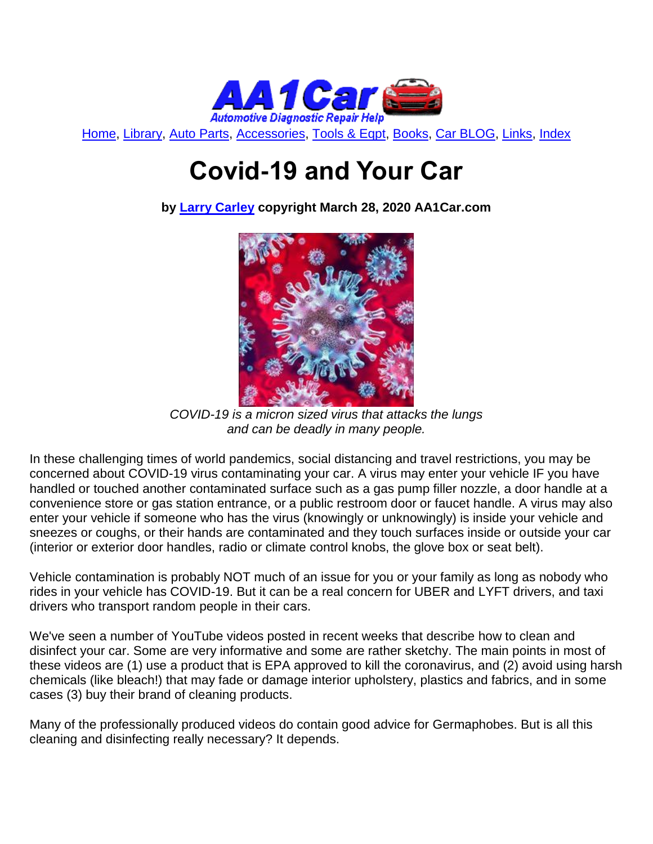

[Home,](http://www.aa1car.com/) [Library,](http://www.aa1car.com/library.htm) [Auto Parts,](http://www.aa1car.com/links_parts.htm) [Accessories,](http://www.aa1car.com/auto-accessories.html) [Tools & Eqpt,](http://www.aa1car.com/links_tools.htm) [Books,](http://www.aa1car.com/links_books.htm) [Car BLOG,](http://www.aa1car.com/blog/blog.htm) [Links,](http://www.aa1car.com/links.htm) [Index](http://www.aa1car.com/index_alphabetical.htm)

# **Covid-19 and Your Car**

**by [Larry Carley](https://www.aa1car.com/larrypage/larrycarley_photos.htm) copyright March 28, 2020 AA1Car.com**



*COVID-19 is a micron sized virus that attacks the lungs and can be deadly in many people.*

In these challenging times of world pandemics, social distancing and travel restrictions, you may be concerned about COVID-19 virus contaminating your car. A virus may enter your vehicle IF you have handled or touched another contaminated surface such as a gas pump filler nozzle, a door handle at a convenience store or gas station entrance, or a public restroom door or faucet handle. A virus may also enter your vehicle if someone who has the virus (knowingly or unknowingly) is inside your vehicle and sneezes or coughs, or their hands are contaminated and they touch surfaces inside or outside your car (interior or exterior door handles, radio or climate control knobs, the glove box or seat belt).

Vehicle contamination is probably NOT much of an issue for you or your family as long as nobody who rides in your vehicle has COVID-19. But it can be a real concern for UBER and LYFT drivers, and taxi drivers who transport random people in their cars.

We've seen a number of YouTube videos posted in recent weeks that describe how to clean and disinfect your car. Some are very informative and some are rather sketchy. The main points in most of these videos are (1) use a product that is EPA approved to kill the coronavirus, and (2) avoid using harsh chemicals (like bleach!) that may fade or damage interior upholstery, plastics and fabrics, and in some cases (3) buy their brand of cleaning products.

Many of the professionally produced videos do contain good advice for Germaphobes. But is all this cleaning and disinfecting really necessary? It depends.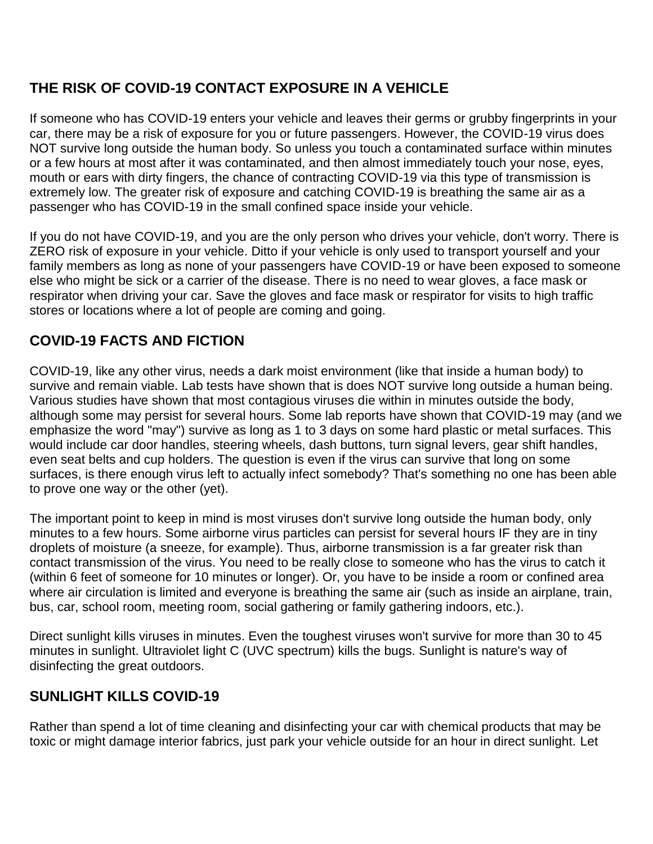# **THE RISK OF COVID-19 CONTACT EXPOSURE IN A VEHICLE**

If someone who has COVID-19 enters your vehicle and leaves their germs or grubby fingerprints in your car, there may be a risk of exposure for you or future passengers. However, the COVID-19 virus does NOT survive long outside the human body. So unless you touch a contaminated surface within minutes or a few hours at most after it was contaminated, and then almost immediately touch your nose, eyes, mouth or ears with dirty fingers, the chance of contracting COVID-19 via this type of transmission is extremely low. The greater risk of exposure and catching COVID-19 is breathing the same air as a passenger who has COVID-19 in the small confined space inside your vehicle.

If you do not have COVID-19, and you are the only person who drives your vehicle, don't worry. There is ZERO risk of exposure in your vehicle. Ditto if your vehicle is only used to transport yourself and your family members as long as none of your passengers have COVID-19 or have been exposed to someone else who might be sick or a carrier of the disease. There is no need to wear gloves, a face mask or respirator when driving your car. Save the gloves and face mask or respirator for visits to high traffic stores or locations where a lot of people are coming and going.

# **COVID-19 FACTS AND FICTION**

COVID-19, like any other virus, needs a dark moist environment (like that inside a human body) to survive and remain viable. Lab tests have shown that is does NOT survive long outside a human being. Various studies have shown that most contagious viruses die within in minutes outside the body, although some may persist for several hours. Some lab reports have shown that COVID-19 may (and we emphasize the word "may") survive as long as 1 to 3 days on some hard plastic or metal surfaces. This would include car door handles, steering wheels, dash buttons, turn signal levers, gear shift handles, even seat belts and cup holders. The question is even if the virus can survive that long on some surfaces, is there enough virus left to actually infect somebody? That's something no one has been able to prove one way or the other (yet).

The important point to keep in mind is most viruses don't survive long outside the human body, only minutes to a few hours. Some airborne virus particles can persist for several hours IF they are in tiny droplets of moisture (a sneeze, for example). Thus, airborne transmission is a far greater risk than contact transmission of the virus. You need to be really close to someone who has the virus to catch it (within 6 feet of someone for 10 minutes or longer). Or, you have to be inside a room or confined area where air circulation is limited and everyone is breathing the same air (such as inside an airplane, train, bus, car, school room, meeting room, social gathering or family gathering indoors, etc.).

Direct sunlight kills viruses in minutes. Even the toughest viruses won't survive for more than 30 to 45 minutes in sunlight. Ultraviolet light C (UVC spectrum) kills the bugs. Sunlight is nature's way of disinfecting the great outdoors.

## **SUNLIGHT KILLS COVID-19**

Rather than spend a lot of time cleaning and disinfecting your car with chemical products that may be toxic or might damage interior fabrics, just park your vehicle outside for an hour in direct sunlight. Let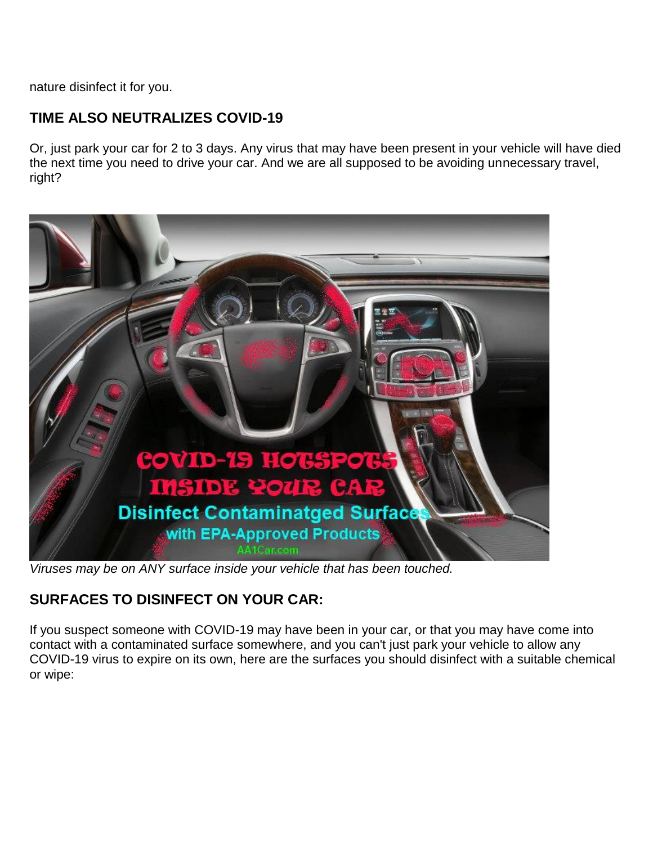nature disinfect it for you.

# **TIME ALSO NEUTRALIZES COVID-19**

Or, just park your car for 2 to 3 days. Any virus that may have been present in your vehicle will have died the next time you need to drive your car. And we are all supposed to be avoiding unnecessary travel, right?



*Viruses may be on ANY surface inside your vehicle that has been touched.*

# **SURFACES TO DISINFECT ON YOUR CAR:**

If you suspect someone with COVID-19 may have been in your car, or that you may have come into contact with a contaminated surface somewhere, and you can't just park your vehicle to allow any COVID-19 virus to expire on its own, here are the surfaces you should disinfect with a suitable chemical or wipe: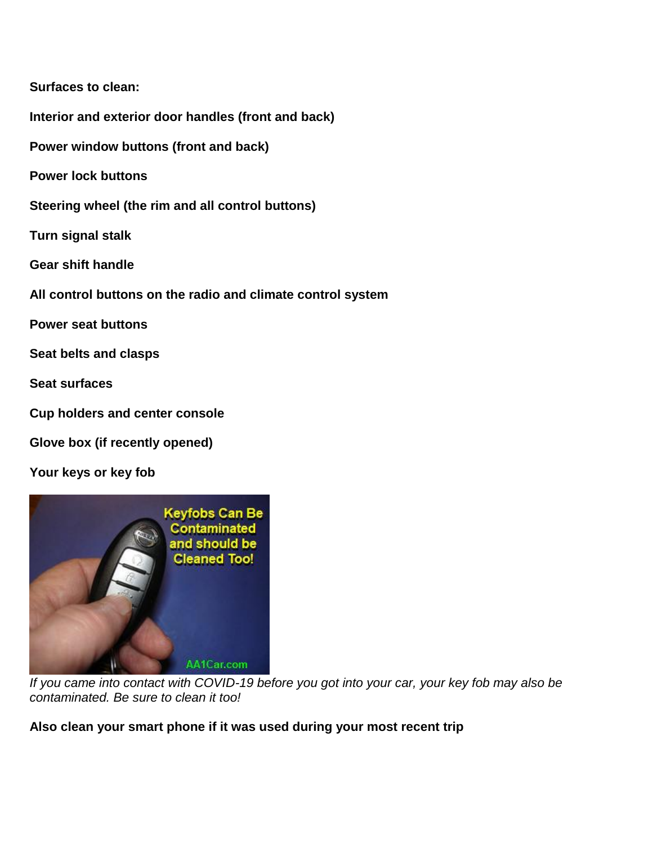#### **Surfaces to clean:**

**Interior and exterior door handles (front and back)**

**Power window buttons (front and back)**

**Power lock buttons** 

**Steering wheel (the rim and all control buttons)**

**Turn signal stalk**

**Gear shift handle**

**All control buttons on the radio and climate control system**

**Power seat buttons**

**Seat belts and clasps**

**Seat surfaces**

**Cup holders and center console**

**Glove box (if recently opened)**

**Your keys or key fob**



*If you came into contact with COVID-19 before you got into your car, your key fob may also be contaminated. Be sure to clean it too!* 

#### **Also clean your smart phone if it was used during your most recent trip**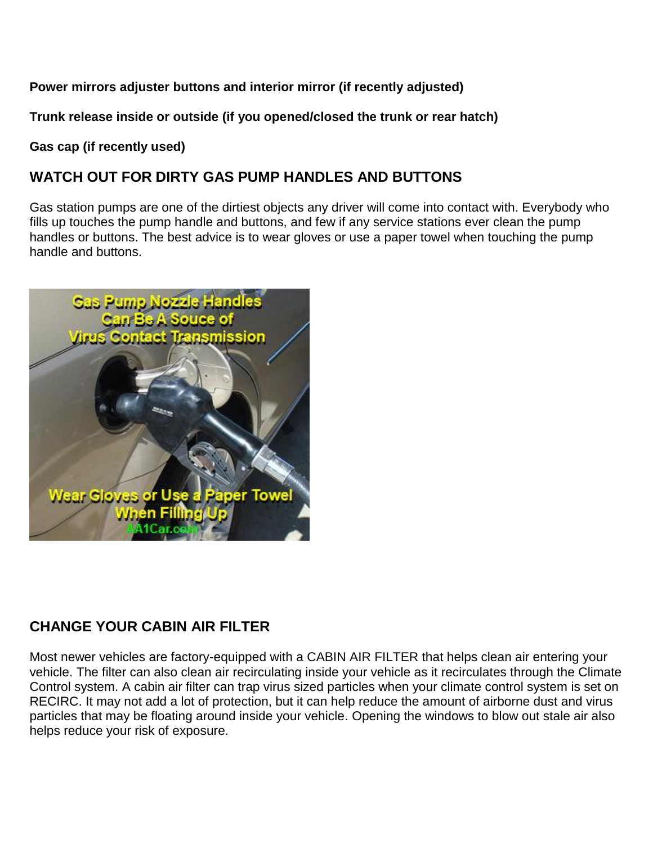#### **Power mirrors adjuster buttons and interior mirror (if recently adjusted)**

**Trunk release inside or outside (if you opened/closed the trunk or rear hatch)**

**Gas cap (if recently used)**

# **WATCH OUT FOR DIRTY GAS PUMP HANDLES AND BUTTONS**

Gas station pumps are one of the dirtiest objects any driver will come into contact with. Everybody who fills up touches the pump handle and buttons, and few if any service stations ever clean the pump handles or buttons. The best advice is to wear gloves or use a paper towel when touching the pump handle and buttons.



# **CHANGE YOUR CABIN AIR FILTER**

Most newer vehicles are factory-equipped with a CABIN AIR FILTER that helps clean air entering your vehicle. The filter can also clean air recirculating inside your vehicle as it recirculates through the Climate Control system. A cabin air filter can trap virus sized particles when your climate control system is set on RECIRC. It may not add a lot of protection, but it can help reduce the amount of airborne dust and virus particles that may be floating around inside your vehicle. Opening the windows to blow out stale air also helps reduce your risk of exposure.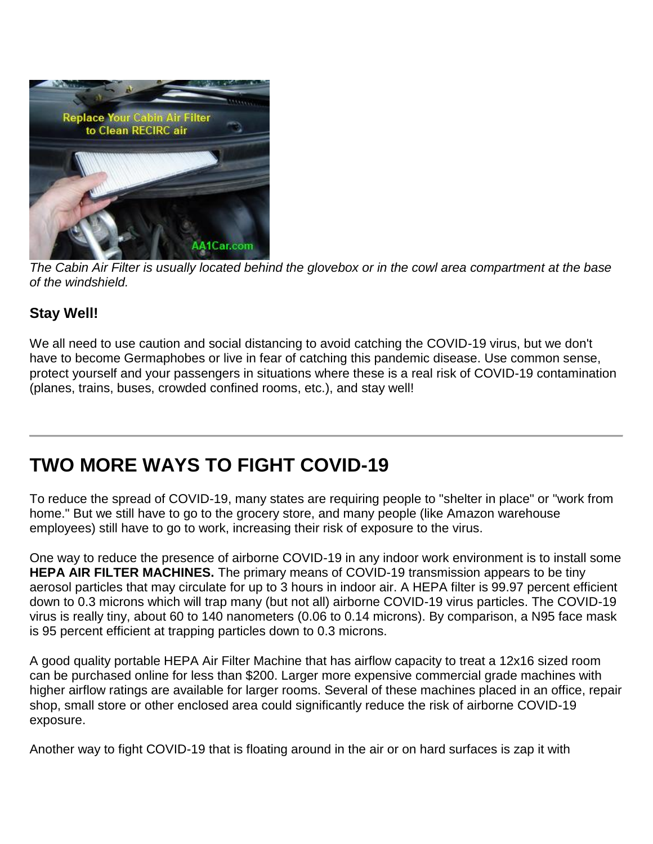

*The Cabin Air Filter is usually located behind the glovebox or in the cowl area compartment at the base of the windshield.*

## **Stay Well!**

We all need to use caution and social distancing to avoid catching the COVID-19 virus, but we don't have to become Germaphobes or live in fear of catching this pandemic disease. Use common sense, protect yourself and your passengers in situations where these is a real risk of COVID-19 contamination (planes, trains, buses, crowded confined rooms, etc.), and stay well!

# **TWO MORE WAYS TO FIGHT COVID-19**

To reduce the spread of COVID-19, many states are requiring people to "shelter in place" or "work from home." But we still have to go to the grocery store, and many people (like Amazon warehouse employees) still have to go to work, increasing their risk of exposure to the virus.

One way to reduce the presence of airborne COVID-19 in any indoor work environment is to install some **HEPA AIR FILTER MACHINES.** The primary means of COVID-19 transmission appears to be tiny aerosol particles that may circulate for up to 3 hours in indoor air. A HEPA filter is 99.97 percent efficient down to 0.3 microns which will trap many (but not all) airborne COVID-19 virus particles. The COVID-19 virus is really tiny, about 60 to 140 nanometers (0.06 to 0.14 microns). By comparison, a N95 face mask is 95 percent efficient at trapping particles down to 0.3 microns.

A good quality portable HEPA Air Filter Machine that has airflow capacity to treat a 12x16 sized room can be purchased online for less than \$200. Larger more expensive commercial grade machines with higher airflow ratings are available for larger rooms. Several of these machines placed in an office, repair shop, small store or other enclosed area could significantly reduce the risk of airborne COVID-19 exposure.

Another way to fight COVID-19 that is floating around in the air or on hard surfaces is zap it with